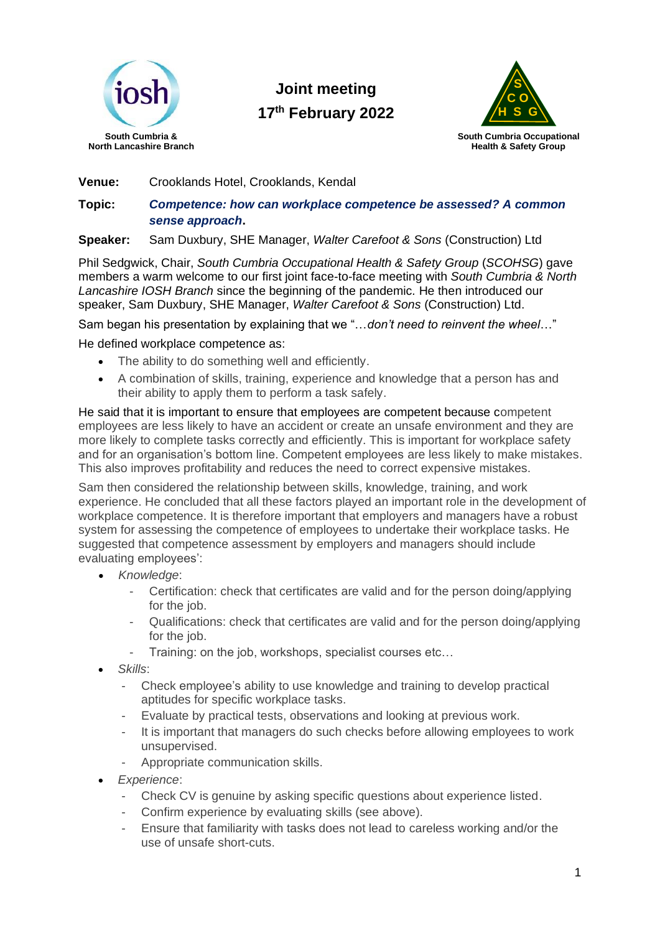

**Joint meeting 17 th February 2022**



**Venue:** Crooklands Hotel, Crooklands, Kendal

**Topic:** *Competence: how can workplace competence be assessed? A common sense approach***.**

**Speaker:** Sam Duxbury, SHE Manager, *Walter Carefoot & Sons* (Construction) Ltd

Phil Sedgwick, Chair, *South Cumbria Occupational Health & Safety Group* (*SCOHSG*) gave members a warm welcome to our first joint face-to-face meeting with *South Cumbria & North Lancashire IOSH Branch* since the beginning of the pandemic*.* He then introduced our speaker, Sam Duxbury, SHE Manager, *Walter Carefoot & Sons* (Construction) Ltd.

Sam began his presentation by explaining that we "…*don't need to reinvent the wheel*…"

He defined workplace competence as:

- The ability to do something well and efficiently.
- A combination of skills, training, experience and knowledge that a person has and their ability to apply them to perform a task safely.

He said that it is important to ensure that employees are competent because competent employees are less likely to have an accident or create an unsafe environment and they are more likely to complete tasks correctly and efficiently. This is important for workplace safety and for an organisation's bottom line. Competent employees are less likely to make mistakes. This also improves profitability and reduces the need to correct expensive mistakes.

Sam then considered the relationship between skills, knowledge, training, and work experience. He concluded that all these factors played an important role in the development of workplace competence. It is therefore important that employers and managers have a robust system for assessing the competence of employees to undertake their workplace tasks. He suggested that competence assessment by employers and managers should include evaluating employees':

- *Knowledge*:
	- Certification: check that certificates are valid and for the person doing/applying for the job.
	- Qualifications: check that certificates are valid and for the person doing/applying for the job.
	- Training: on the job, workshops, specialist courses etc...
- *Skills*:
	- Check employee's ability to use knowledge and training to develop practical aptitudes for specific workplace tasks.
	- Evaluate by practical tests, observations and looking at previous work.
	- It is important that managers do such checks before allowing employees to work unsupervised.
	- Appropriate communication skills.
- *Experience*:
	- Check CV is genuine by asking specific questions about experience listed.
	- Confirm experience by evaluating skills (see above).
	- Ensure that familiarity with tasks does not lead to careless working and/or the use of unsafe short-cuts.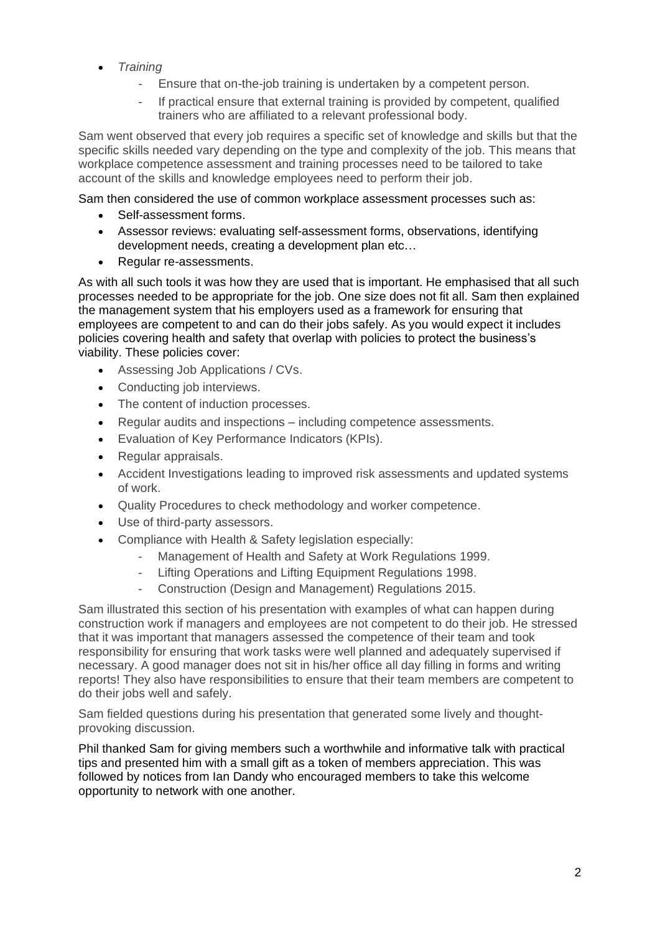- *Training*
	- Ensure that on-the-job training is undertaken by a competent person.
	- If practical ensure that external training is provided by competent, qualified trainers who are affiliated to a relevant professional body.

Sam went observed that every job requires a specific set of knowledge and skills but that the specific skills needed vary depending on the type and complexity of the job. This means that workplace competence assessment and training processes need to be tailored to take account of the skills and knowledge employees need to perform their job.

Sam then considered the use of common workplace assessment processes such as:

- Self-assessment forms.
- Assessor reviews: evaluating self-assessment forms, observations, identifying development needs, creating a development plan etc…
- Regular re-assessments.

As with all such tools it was how they are used that is important. He emphasised that all such processes needed to be appropriate for the job. One size does not fit all. Sam then explained the management system that his employers used as a framework for ensuring that employees are competent to and can do their jobs safely. As you would expect it includes policies covering health and safety that overlap with policies to protect the business's viability. These policies cover:

- Assessing Job Applications / CVs.
- Conducting job interviews.
- The content of induction processes.
- Regular audits and inspections including competence assessments.
- Evaluation of Key Performance Indicators (KPIs).
- Regular appraisals.
- Accident Investigations leading to improved risk assessments and updated systems of work.
- Quality Procedures to check methodology and worker competence.
- Use of third-party assessors.
- Compliance with Health & Safety legislation especially:
	- Management of Health and Safety at Work Regulations 1999.
	- Lifting Operations and Lifting Equipment Regulations 1998.
	- Construction (Design and Management) Regulations 2015.

Sam illustrated this section of his presentation with examples of what can happen during construction work if managers and employees are not competent to do their job. He stressed that it was important that managers assessed the competence of their team and took responsibility for ensuring that work tasks were well planned and adequately supervised if necessary. A good manager does not sit in his/her office all day filling in forms and writing reports! They also have responsibilities to ensure that their team members are competent to do their jobs well and safely.

Sam fielded questions during his presentation that generated some lively and thoughtprovoking discussion.

Phil thanked Sam for giving members such a worthwhile and informative talk with practical tips and presented him with a small gift as a token of members appreciation. This was followed by notices from Ian Dandy who encouraged members to take this welcome opportunity to network with one another.